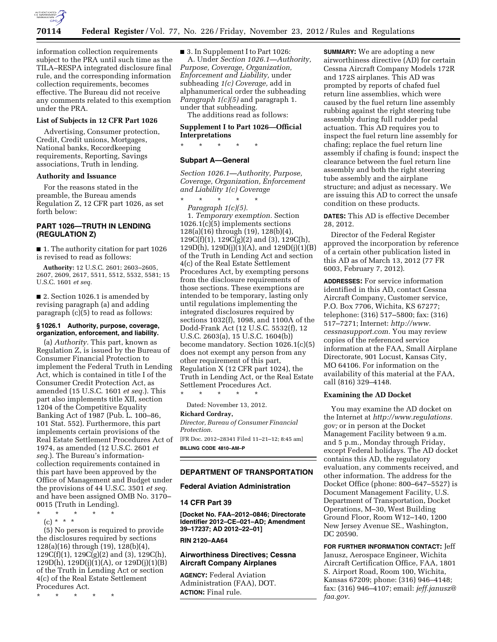

information collection requirements subject to the PRA until such time as the TILA–RESPA integrated disclosure final rule, and the corresponding information collection requirements, becomes effective. The Bureau did not receive any comments related to this exemption under the PRA.

### **List of Subjects in 12 CFR Part 1026**

Advertising, Consumer protection, Credit, Credit unions, Mortgages, National banks, Recordkeeping requirements, Reporting, Savings associations, Truth in lending.

#### **Authority and Issuance**

For the reasons stated in the preamble, the Bureau amends Regulation Z, 12 CFR part 1026, as set forth below:

# **PART 1026—TRUTH IN LENDING (REGULATION Z)**

■ 1. The authority citation for part 1026 is revised to read as follows:

**Authority:** 12 U.S.C. 2601; 2603–2605, 2607, 2609, 2617, 5511, 5512, 5532, 5581; 15 U.S.C. 1601 *et seq.* 

■ 2. Section 1026.1 is amended by revising paragraph (a) and adding paragraph (c)(5) to read as follows:

## **§ 1026.1 Authority, purpose, coverage, organization, enforcement, and liability.**

(a) *Authority.* This part, known as Regulation Z, is issued by the Bureau of Consumer Financial Protection to implement the Federal Truth in Lending Act, which is contained in title I of the Consumer Credit Protection Act, as amended (15 U.S.C. 1601 *et seq.*). This part also implements title XII, section 1204 of the Competitive Equality Banking Act of 1987 (Pub. L. 100–86, 101 Stat. 552). Furthermore, this part implements certain provisions of the Real Estate Settlement Procedures Act of 1974, as amended (12 U.S.C. 2601 *et seq.*). The Bureau's informationcollection requirements contained in this part have been approved by the Office of Management and Budget under the provisions of 44 U.S.C. 3501 *et seq.*  and have been assigned OMB No. 3170– 0015 (Truth in Lending).

\* \* \* \* \*

(c) \* \* \* (5) No person is required to provide the disclosures required by sections 128(a)(16) through (19), 128(b)(4),  $129C(f)(1)$ ,  $129C(g)(2)$  and  $(3)$ ,  $129C(h)$ , 129D(h), 129D(j)(1)(A), or 129D(j)(1)(B) of the Truth in Lending Act or section 4(c) of the Real Estate Settlement Procedures Act.

\* \* \* \* \*

■ 3. In Supplement I to Part 1026: A. Under *Section 1026.1—Authority, Purpose, Coverage, Organization, Enforcement and Liability,* under subheading *1(c) Coverage,* add in alphanumerical order the subheading *Paragraph 1(c)(5)* and paragraph 1. under that subheading.

The additions read as follows:

## **Supplement I to Part 1026—Official Interpretations**

\* \* \* \* \*

## **Subpart A—General**

*Section 1026.1—Authority, Purpose, Coverage, Organization, Enforcement and Liability 1(c) Coverage* 

\* \* \* \* \*

*Paragraph 1(c)(5).*  1. *Temporary exemption.* Section 1026.1(c)(5) implements sections 128(a)(16) through (19), 128(b)(4),  $129C(f)(1)$ ,  $129C(g)(2)$  and (3),  $129C(h)$ , 129D(h), 129D(j)(1)(A), and 129D(j)(1)(B) of the Truth in Lending Act and section 4(c) of the Real Estate Settlement Procedures Act, by exempting persons from the disclosure requirements of those sections. These exemptions are intended to be temporary, lasting only until regulations implementing the integrated disclosures required by sections 1032(f), 1098, and 1100A of the Dodd-Frank Act (12 U.S.C. 5532(f), 12 U.S.C. 2603(a), 15 U.S.C. 1604(b)) become mandatory. Section 1026.1(c)(5) does not exempt any person from any other requirement of this part, Regulation X (12 CFR part 1024), the Truth in Lending Act, or the Real Estate Settlement Procedures Act.

\* \* \* \* \* Dated: November 13, 2012.

## **Richard Cordray,**

*Director, Bureau of Consumer Financial Protection.*  [FR Doc. 2012–28341 Filed 11–21–12; 8:45 am] **BILLING CODE 4810–AM–P** 

### **DEPARTMENT OF TRANSPORTATION**

#### **Federal Aviation Administration**

#### **14 CFR Part 39**

**[Docket No. FAA–2012–0846; Directorate Identifier 2012–CE–021–AD; Amendment 39–17237; AD 2012–22–01]** 

## **RIN 2120–AA64**

# **Airworthiness Directives; Cessna Aircraft Company Airplanes**

**AGENCY:** Federal Aviation Administration (FAA), DOT. **ACTION:** Final rule.

**SUMMARY:** We are adopting a new airworthiness directive (AD) for certain Cessna Aircraft Company Models 172R and 172S airplanes. This AD was prompted by reports of chafed fuel return line assemblies, which were caused by the fuel return line assembly rubbing against the right steering tube assembly during full rudder pedal actuation. This AD requires you to inspect the fuel return line assembly for chafing; replace the fuel return line assembly if chafing is found; inspect the clearance between the fuel return line assembly and both the right steering tube assembly and the airplane structure; and adjust as necessary. We are issuing this AD to correct the unsafe condition on these products.

**DATES:** This AD is effective December 28, 2012.

Director of the Federal Register approved the incorporation by reference of a certain other publication listed in this AD as of March 13, 2012 (77 FR 6003, February 7, 2012).

**ADDRESSES:** For service information identified in this AD, contact Cessna Aircraft Company, Customer service, P.O. Box 7706, Wichita, KS 67277; telephone: (316) 517–5800; fax: (316) 517–7271; Internet: *[http://www.](http://www.cessnasupport.com) [cessnasupport.com.](http://www.cessnasupport.com)* You may review copies of the referenced service information at the FAA, Small Airplane Directorate, 901 Locust, Kansas City, MO 64106. For information on the availability of this material at the FAA, call (816) 329–4148.

### **Examining the AD Docket**

You may examine the AD docket on the Internet at *[http://www.regulations.](http://www.regulations.gov) [gov;](http://www.regulations.gov)* or in person at the Docket Management Facility between 9 a.m. and 5 p.m., Monday through Friday, except Federal holidays. The AD docket contains this AD, the regulatory evaluation, any comments received, and other information. The address for the Docket Office (phone: 800–647–5527) is Document Management Facility, U.S. Department of Transportation, Docket Operations, M–30, West Building Ground Floor, Room W12–140, 1200 New Jersey Avenue SE., Washington, DC 20590.

**FOR FURTHER INFORMATION CONTACT:** Jeff Janusz, Aerospace Engineer, Wichita Aircraft Certification Office, FAA, 1801 S. Airport Road, Room 100, Wichita, Kansas 67209; phone: (316) 946–4148; fax: (316) 946–4107; email: *[jeff.janusz@](mailto:jeff.janusz@faa.gov) [faa.gov.](mailto:jeff.janusz@faa.gov)*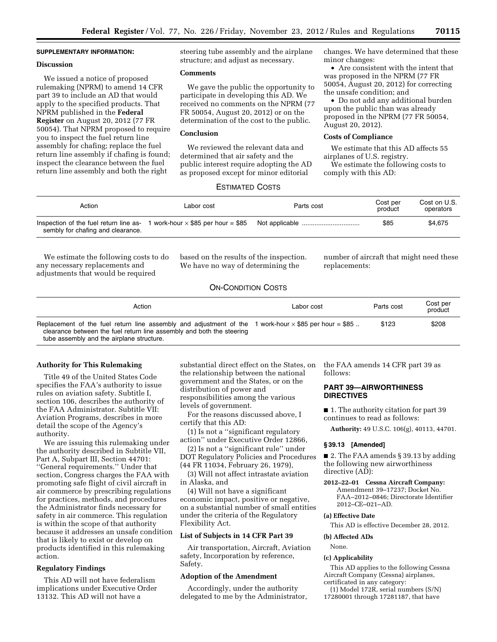# **SUPPLEMENTARY INFORMATION:**

## **Discussion**

We issued a notice of proposed rulemaking (NPRM) to amend 14 CFR part 39 to include an AD that would apply to the specified products. That NPRM published in the **Federal Register** on August 20, 2012 (77 FR 50054). That NPRM proposed to require you to inspect the fuel return line assembly for chafing; replace the fuel return line assembly if chafing is found; inspect the clearance between the fuel return line assembly and both the right

steering tube assembly and the airplane structure; and adjust as necessary.

#### **Comments**

We gave the public the opportunity to participate in developing this AD. We received no comments on the NPRM (77 FR 50054, August 20, 2012) or on the determination of the cost to the public.

### **Conclusion**

We reviewed the relevant data and determined that air safety and the public interest require adopting the AD as proposed except for minor editorial

changes. We have determined that these minor changes:

• Are consistent with the intent that was proposed in the NPRM (77 FR 50054, August 20, 2012) for correcting the unsafe condition; and

• Do not add any additional burden upon the public than was already proposed in the NPRM (77 FR 50054, August 20, 2012).

### **Costs of Compliance**

We estimate that this AD affects 55 airplanes of U.S. registry.

We estimate the following costs to comply with this AD:

# ESTIMATED COSTS

| Action                            | Labor cost | Parts cost | Cost per<br>product | Cost on U.S.<br>operators |
|-----------------------------------|------------|------------|---------------------|---------------------------|
| sembly for chafing and clearance. |            |            | \$85                | \$4.675                   |

We estimate the following costs to do any necessary replacements and adjustments that would be required

based on the results of the inspection. We have no way of determining the

number of aircraft that might need these replacements:

## ON-CONDITION COSTS

| Action                                                                                                                                                                                | Labor cost | Parts cost | Cost per<br>product |
|---------------------------------------------------------------------------------------------------------------------------------------------------------------------------------------|------------|------------|---------------------|
| Replacement of the fuel return line assembly and adjustment of the 1 work-hour $\times$ \$85 per hour = \$85<br>clearance between the fuel return line assembly and both the steering |            | \$123      | \$208               |
| tube assembly and the airplane structure.                                                                                                                                             |            |            |                     |

#### **Authority for This Rulemaking**

Title 49 of the United States Code specifies the FAA's authority to issue rules on aviation safety. Subtitle I, section 106, describes the authority of the FAA Administrator. Subtitle VII: Aviation Programs, describes in more detail the scope of the Agency's authority.

We are issuing this rulemaking under the authority described in Subtitle VII, Part A, Subpart III, Section 44701: ''General requirements.'' Under that section, Congress charges the FAA with promoting safe flight of civil aircraft in air commerce by prescribing regulations for practices, methods, and procedures the Administrator finds necessary for safety in air commerce. This regulation is within the scope of that authority because it addresses an unsafe condition that is likely to exist or develop on products identified in this rulemaking action.

### **Regulatory Findings**

This AD will not have federalism implications under Executive Order 13132. This AD will not have a

substantial direct effect on the States, on the relationship between the national government and the States, or on the distribution of power and responsibilities among the various levels of government.

For the reasons discussed above, I certify that this AD:

(1) Is not a ''significant regulatory action'' under Executive Order 12866,

(2) Is not a ''significant rule'' under DOT Regulatory Policies and Procedures (44 FR 11034, February 26, 1979),

(3) Will not affect intrastate aviation in Alaska, and

(4) Will not have a significant economic impact, positive or negative, on a substantial number of small entities under the criteria of the Regulatory Flexibility Act.

## **List of Subjects in 14 CFR Part 39**

Air transportation, Aircraft, Aviation safety, Incorporation by reference, Safety.

### **Adoption of the Amendment**

Accordingly, under the authority delegated to me by the Administrator, the FAA amends 14 CFR part 39 as follows:

## **PART 39—AIRWORTHINESS DIRECTIVES**

■ 1. The authority citation for part 39 continues to read as follows:

**Authority:** 49 U.S.C. 106(g), 40113, 44701.

## **§ 39.13 [Amended]**

■ 2. The FAA amends § 39.13 by adding the following new airworthiness directive (AD):

**2012–22–01 Cessna Aircraft Company:**  Amendment 39–17237; Docket No. FAA–2012–0846; Directorate Identifier 2012–CE–021–AD.

### **(a) Effective Date**

This AD is effective December 28, 2012.

#### **(b) Affected ADs**

None.

### **(c) Applicability**

This AD applies to the following Cessna Aircraft Company (Cessna) airplanes, certificated in any category:

(1) Model 172R, serial numbers (S/N) 17280001 through 17281187, that have